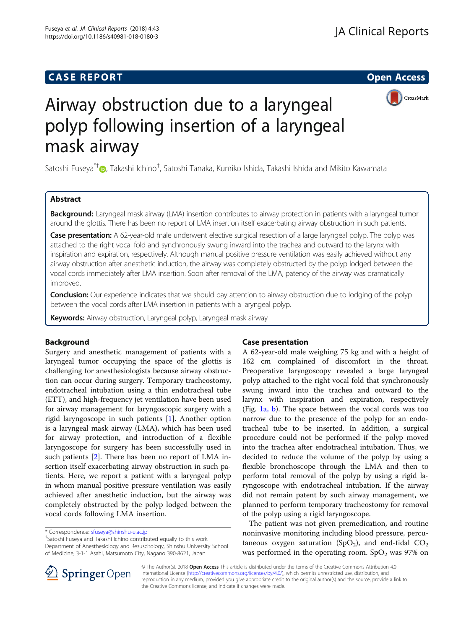# **CASE REPORT CASE REPORT CASE REPORT**



# Airway obstruction due to a laryngeal polyp following insertion of a laryngeal mask airway

Satoshi Fuseya<sup>\*†</sup>@, Takashi Ichino<sup>†</sup>, Satoshi Tanaka, Kumiko Ishida, Takashi Ishida and Mikito Kawamata

# Abstract

Background: Laryngeal mask airway (LMA) insertion contributes to airway protection in patients with a laryngeal tumor around the glottis. There has been no report of LMA insertion itself exacerbating airway obstruction in such patients.

Case presentation: A 62-year-old male underwent elective surgical resection of a large laryngeal polyp. The polyp was attached to the right vocal fold and synchronously swung inward into the trachea and outward to the larynx with inspiration and expiration, respectively. Although manual positive pressure ventilation was easily achieved without any airway obstruction after anesthetic induction, the airway was completely obstructed by the polyp lodged between the vocal cords immediately after LMA insertion. Soon after removal of the LMA, patency of the airway was dramatically improved.

**Conclusion:** Our experience indicates that we should pay attention to airway obstruction due to lodging of the polyp between the vocal cords after LMA insertion in patients with a laryngeal polyp.

Keywords: Airway obstruction, Laryngeal polyp, Laryngeal mask airway

# Background

Surgery and anesthetic management of patients with a laryngeal tumor occupying the space of the glottis is challenging for anesthesiologists because airway obstruction can occur during surgery. Temporary tracheostomy, endotracheal intubation using a thin endotracheal tube (ETT), and high-frequency jet ventilation have been used for airway management for laryngoscopic surgery with a rigid laryngoscope in such patients [\[1](#page-2-0)]. Another option is a laryngeal mask airway (LMA), which has been used for airway protection, and introduction of a flexible laryngoscope for surgery has been successfully used in such patients [[2\]](#page-2-0). There has been no report of LMA insertion itself exacerbating airway obstruction in such patients. Here, we report a patient with a laryngeal polyp in whom manual positive pressure ventilation was easily achieved after anesthetic induction, but the airway was completely obstructed by the polyp lodged between the vocal cords following LMA insertion.

<sup>+</sup>Satoshi Fuseya and Takashi Ichino contributed equally to this work. Department of Anesthesiology and Resuscitology, Shinshu University School of Medicine, 3-1-1 Asahi, Matsumoto City, Nagano 390-8621, Japan

# Case presentation

A 62-year-old male weighing 75 kg and with a height of 162 cm complained of discomfort in the throat. Preoperative laryngoscopy revealed a large laryngeal polyp attached to the right vocal fold that synchronously swung inward into the trachea and outward to the larynx with inspiration and expiration, respectively (Fig.  $1a$ , b). The space between the vocal cords was too narrow due to the presence of the polyp for an endotracheal tube to be inserted. In addition, a surgical procedure could not be performed if the polyp moved into the trachea after endotracheal intubation. Thus, we decided to reduce the volume of the polyp by using a flexible bronchoscope through the LMA and then to perform total removal of the polyp by using a rigid laryngoscope with endotracheal intubation. If the airway did not remain patent by such airway management, we planned to perform temporary tracheostomy for removal of the polyp using a rigid laryngoscope.

The patient was not given premedication, and routine noninvasive monitoring including blood pressure, percutaneous oxygen saturation (SpO<sub>2</sub>), and end-tidal  $CO<sub>2</sub>$ was performed in the operating room.  $SpO<sub>2</sub>$  was 97% on



© The Author(s). 2018 Open Access This article is distributed under the terms of the Creative Commons Attribution 4.0 International License ([http://creativecommons.org/licenses/by/4.0/\)](http://creativecommons.org/licenses/by/4.0/), which permits unrestricted use, distribution, and reproduction in any medium, provided you give appropriate credit to the original author(s) and the source, provide a link to the Creative Commons license, and indicate if changes were made.

<sup>\*</sup> Correspondence: [sfuseya@shinshu-u.ac.jp](mailto:sfuseya@shinshu-u.ac.jp) †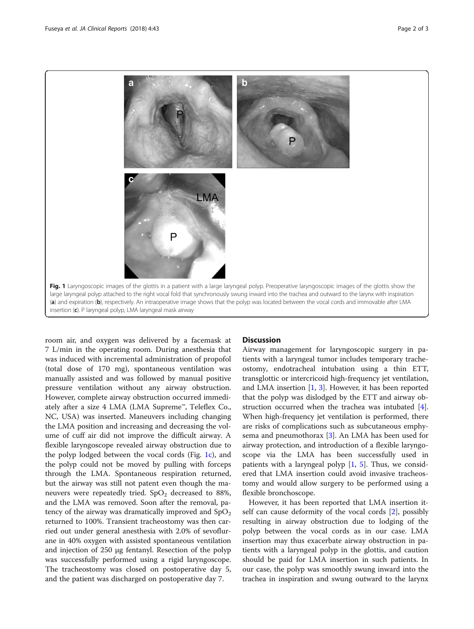<span id="page-1-0"></span>

room air, and oxygen was delivered by a facemask at 7 L/min in the operating room. During anesthesia that was induced with incremental administration of propofol (total dose of 170 mg), spontaneous ventilation was manually assisted and was followed by manual positive pressure ventilation without any airway obstruction. However, complete airway obstruction occurred immediately after a size 4 LMA (LMA Supreme™, Teleflex Co., NC, USA) was inserted. Maneuvers including changing the LMA position and increasing and decreasing the volume of cuff air did not improve the difficult airway. A flexible laryngoscope revealed airway obstruction due to the polyp lodged between the vocal cords (Fig. 1c), and the polyp could not be moved by pulling with forceps through the LMA. Spontaneous respiration returned, but the airway was still not patent even though the maneuvers were repeatedly tried.  $SpO<sub>2</sub>$  decreased to 88%, and the LMA was removed. Soon after the removal, patency of the airway was dramatically improved and  $SpO<sub>2</sub>$ returned to 100%. Transient tracheostomy was then carried out under general anesthesia with 2.0% of sevoflurane in 40% oxygen with assisted spontaneous ventilation and injection of 250 μg fentanyl. Resection of the polyp was successfully performed using a rigid laryngoscope. The tracheostomy was closed on postoperative day 5, and the patient was discharged on postoperative day 7.

#### **Discussion**

Airway management for laryngoscopic surgery in patients with a laryngeal tumor includes temporary tracheostomy, endotracheal intubation using a thin ETT, transglottic or intercricoid high-frequency jet ventilation, and LMA insertion  $[1, 3]$  $[1, 3]$  $[1, 3]$  $[1, 3]$ . However, it has been reported that the polyp was dislodged by the ETT and airway obstruction occurred when the trachea was intubated [\[4](#page-2-0)]. When high-frequency jet ventilation is performed, there are risks of complications such as subcutaneous emphysema and pneumothorax [[3\]](#page-2-0). An LMA has been used for airway protection, and introduction of a flexible laryngoscope via the LMA has been successfully used in patients with a laryngeal polyp [[1,](#page-2-0) [5\]](#page-2-0). Thus, we considered that LMA insertion could avoid invasive tracheostomy and would allow surgery to be performed using a flexible bronchoscope.

However, it has been reported that LMA insertion itself can cause deformity of the vocal cords [\[2\]](#page-2-0), possibly resulting in airway obstruction due to lodging of the polyp between the vocal cords as in our case. LMA insertion may thus exacerbate airway obstruction in patients with a laryngeal polyp in the glottis, and caution should be paid for LMA insertion in such patients. In our case, the polyp was smoothly swung inward into the trachea in inspiration and swung outward to the larynx